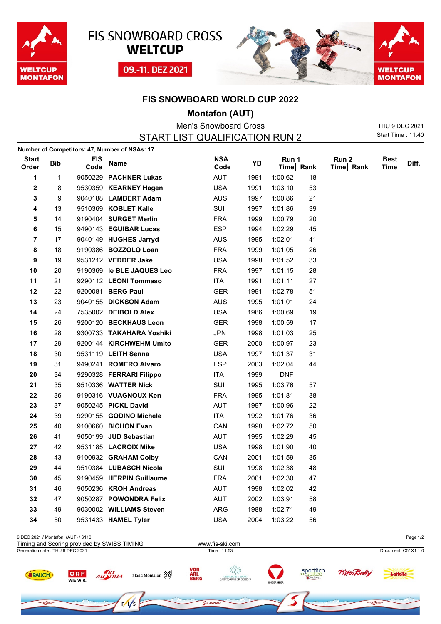





## **FIS SNOWBOARD WORLD CUP 2022**

## **Montafon (AUT)**

|                       |            |                    |                                               | <b>Men's Snowboard Cross</b>   |      |               |      |                               | THU 9 DEC 2021             |       |
|-----------------------|------------|--------------------|-----------------------------------------------|--------------------------------|------|---------------|------|-------------------------------|----------------------------|-------|
|                       |            |                    |                                               | START LIST QUALIFICATION RUN 2 |      |               |      |                               | Start Time: 11:40          |       |
|                       |            |                    | Number of Competitors: 47, Number of NSAs: 17 |                                |      |               |      |                               |                            |       |
| <b>Start</b><br>Order | <b>Bib</b> | <b>FIS</b><br>Code | Name                                          | <b>NSA</b><br>Code             | ΥB   | Run 1<br>Time | Rank | Run <sub>2</sub><br>Time Rank | <b>Best</b><br><b>Time</b> | Diff. |
| 1                     | 1          |                    | 9050229 PACHNER Lukas                         | AUT                            | 1991 | 1:00.62       | 18   |                               |                            |       |
| 2                     | 8          |                    | 9530359 KEARNEY Hagen                         | <b>USA</b>                     | 1991 | 1:03.10       | 53   |                               |                            |       |
| 3                     | 9          |                    | 9040188 LAMBERT Adam                          | <b>AUS</b>                     | 1997 | 1:00.86       | 21   |                               |                            |       |
| 4                     | 13         |                    | 9510369 KOBLET Kalle                          | SUI                            | 1997 | 1:01.86       | 39   |                               |                            |       |
| 5                     | 14         |                    | 9190404 SURGET Merlin                         | <b>FRA</b>                     | 1999 | 1:00.79       | 20   |                               |                            |       |
| 6                     | 15         |                    | 9490143 EGUIBAR Lucas                         | <b>ESP</b>                     | 1994 | 1:02.29       | 45   |                               |                            |       |
| $\overline{7}$        | 17         |                    | 9040149 HUGHES Jarryd                         | <b>AUS</b>                     | 1995 | 1:02.01       | 41   |                               |                            |       |
| 8                     | 18         |                    | 9190386 BOZZOLO Loan                          | <b>FRA</b>                     | 1999 | 1:01.05       | 26   |                               |                            |       |
| 9                     | 19         |                    | 9531212 VEDDER Jake                           | <b>USA</b>                     | 1998 | 1:01.52       | 33   |                               |                            |       |
| 10                    | 20         |                    | 9190369 le BLE JAQUES Leo                     | <b>FRA</b>                     | 1997 | 1:01.15       | 28   |                               |                            |       |
| 11                    | 21         |                    | 9290112 LEONI Tommaso                         | <b>ITA</b>                     | 1991 | 1:01.11       | 27   |                               |                            |       |
| 12                    | 22         |                    | 9200081 BERG Paul                             | <b>GER</b>                     | 1991 | 1:02.78       | 51   |                               |                            |       |
| 13                    | 23         |                    | 9040155 DICKSON Adam                          | <b>AUS</b>                     | 1995 | 1:01.01       | 24   |                               |                            |       |
| 14                    | 24         |                    | 7535002 DEIBOLD Alex                          | <b>USA</b>                     | 1986 | 1:00.69       | 19   |                               |                            |       |
| 15                    | 26         |                    | 9200120 BECKHAUS Leon                         | <b>GER</b>                     | 1998 | 1:00.59       | 17   |                               |                            |       |
| 16                    | 28         |                    | 9300733 TAKAHARA Yoshiki                      | <b>JPN</b>                     | 1998 | 1:01.03       | 25   |                               |                            |       |
| 17                    | 29         |                    | 9200144 KIRCHWEHM Umito                       | <b>GER</b>                     | 2000 | 1:00.97       | 23   |                               |                            |       |
| 18                    | 30         |                    | 9531119 LEITH Senna                           | <b>USA</b>                     | 1997 | 1:01.37       | 31   |                               |                            |       |
| 19                    | 31         |                    | 9490241 ROMERO Alvaro                         | <b>ESP</b>                     | 2003 | 1:02.04       | 44   |                               |                            |       |
| 20                    | 34         |                    | 9290328 FERRARI Filippo                       | <b>ITA</b>                     | 1999 | <b>DNF</b>    |      |                               |                            |       |
| 21                    | 35         |                    | 9510336 WATTER Nick                           | SUI                            | 1995 | 1:03.76       | 57   |                               |                            |       |
| 22                    | 36         |                    | 9190316 VUAGNOUX Ken                          | <b>FRA</b>                     | 1995 | 1:01.81       | 38   |                               |                            |       |
| 23                    | 37         |                    | 9050245 PICKL David                           | <b>AUT</b>                     | 1997 | 1:00.96       | 22   |                               |                            |       |
| 24                    | 39         |                    | 9290155 GODINO Michele                        | <b>ITA</b>                     | 1992 | 1:01.76       | 36   |                               |                            |       |
| 25                    | 40         |                    | 9100660 BICHON Evan                           | CAN                            | 1998 | 1:02.72       | 50   |                               |                            |       |
| 26                    | 41         |                    | 9050199 JUD Sebastian                         | <b>AUT</b>                     | 1995 | 1:02.29       | 45   |                               |                            |       |
| 27                    | 42         |                    | 9531185 LACROIX Mike                          | <b>USA</b>                     | 1998 | 1:01.90       | 40   |                               |                            |       |
| 28                    | 43         |                    | 9100932 GRAHAM Colby                          | CAN                            | 2001 | 1:01.59       | 35   |                               |                            |       |
| 29                    | 44         |                    | 9510384 LUBASCH Nicola                        | SUI                            | 1998 | 1:02.38       | 48   |                               |                            |       |
| 30                    | 45         |                    | 9190459 HERPIN Guillaume                      | <b>FRA</b>                     | 2001 | 1:02.30       | 47   |                               |                            |       |
| 31                    | 46         |                    | 9050236 KROH Andreas                          | AUT                            | 1998 | 1:02.02       | 42   |                               |                            |       |
| 32                    | 47         |                    | 9050287 POWONDRA Felix                        | AUT                            | 2002 | 1:03.91       | 58   |                               |                            |       |
| 33                    | 49         |                    | 9030002 WILLIAMS Steven                       | ARG                            | 1988 | 1:02.71       | 49   |                               |                            |       |
| 34                    | 50         |                    | 9531433 HAMEL Tyler                           | <b>USA</b>                     | 2004 | 1:03.22       | 56   |                               |                            |       |

9 DEC 2021 / Montafon (AUT) / 6110 Page 1/2 Timing and Scoring provided by SWISS TIMING www.fis-ski.comGeneration date : THU 9 DEC 2021 Time : 11:53 Document: C51X1 1.0 VOR<br>ARL<br>BERG sportlich ORF<br>WIE WIR Stand Montafon RE Pisteni Lottollo *SRAUCH* AU TRIA **CHIRURGIE & SPORT**<br>SANATORIUM DR. SCHENK ow Google  $\frac{1}{2}$